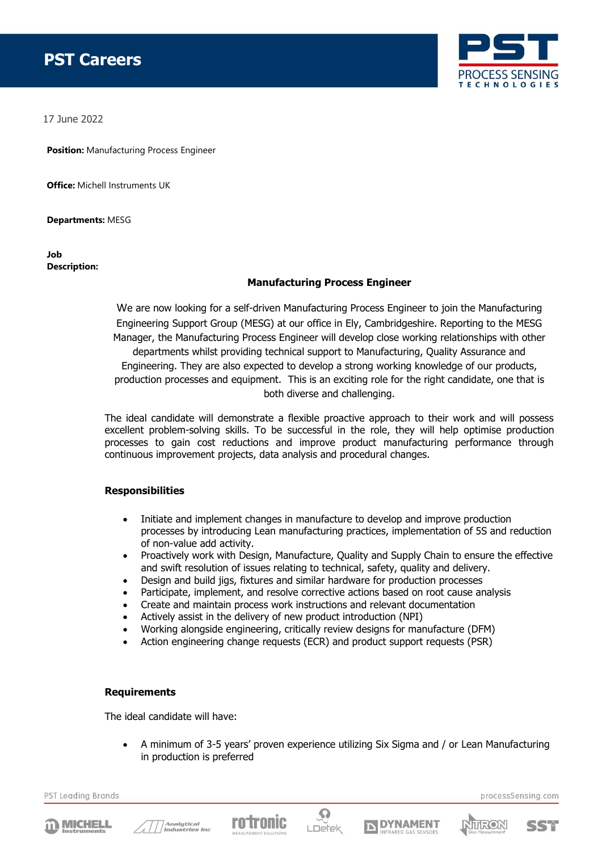# **PST Careers**



17 June 2022

**Position:** Manufacturing Process Engineer

**Office:** Michell Instruments UK

**Departments:** MESG

**Job Description:**

## **Manufacturing Process Engineer**

We are now looking for a self-driven Manufacturing Process Engineer to join the Manufacturing Engineering Support Group (MESG) at our office in Ely, Cambridgeshire. Reporting to the MESG Manager, the Manufacturing Process Engineer will develop close working relationships with other departments whilst providing technical support to Manufacturing, Quality Assurance and Engineering. They are also expected to develop a strong working knowledge of our products, production processes and equipment. This is an exciting role for the right candidate, one that is both diverse and challenging.

The ideal candidate will demonstrate a flexible proactive approach to their work and will possess excellent problem-solving skills. To be successful in the role, they will help optimise production processes to gain cost reductions and improve product manufacturing performance through continuous improvement projects, data analysis and procedural changes.

## **Responsibilities**

- Initiate and implement changes in manufacture to develop and improve production processes by introducing Lean manufacturing practices, implementation of 5S and reduction of non-value add activity.
- Proactively work with Design, Manufacture, Quality and Supply Chain to ensure the effective and swift resolution of issues relating to technical, safety, quality and delivery.
- Design and build jigs, fixtures and similar hardware for production processes
- Participate, implement, and resolve corrective actions based on root cause analysis
- Create and maintain process work instructions and relevant documentation
- Actively assist in the delivery of new product introduction (NPI)
- Working alongside engineering, critically review designs for manufacture (DFM)
- Action engineering change requests (ECR) and product support requests (PSR)

#### **Requirements**

The ideal candidate will have:

• A minimum of 3-5 years' proven experience utilizing Six Sigma and / or Lean Manufacturing in production is preferred

PST Leading Brands













processSensing.com